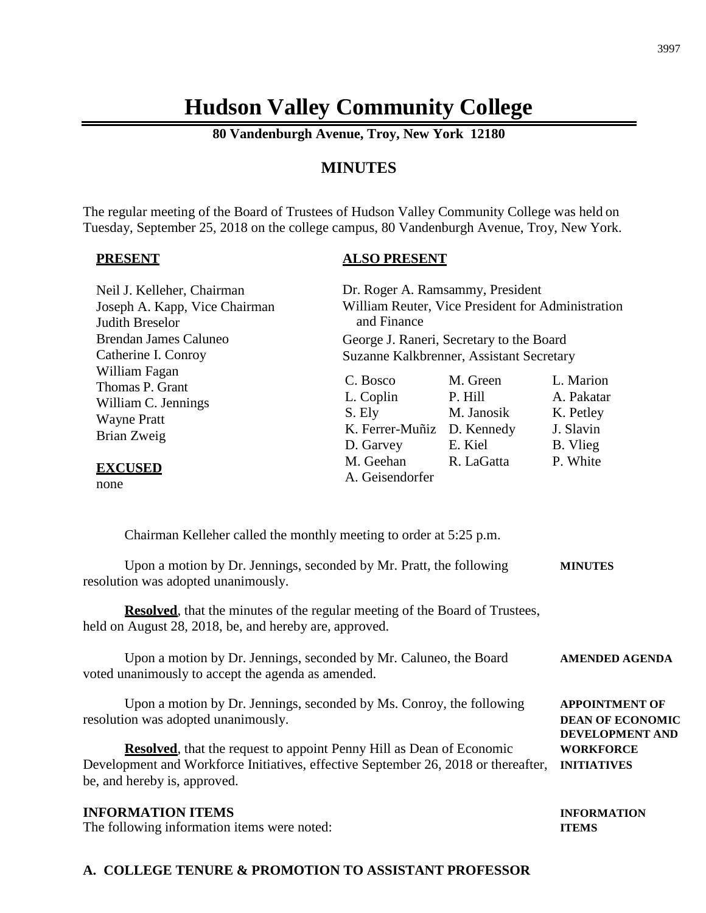# **Hudson Valley Community College**

**80 Vandenburgh Avenue, Troy, New York 12180**

## **MINUTES**

The regular meeting of the Board of Trustees of Hudson Valley Community College was held on Tuesday, September 25, 2018 on the college campus, 80 Vandenburgh Avenue, Troy, New York.

#### **PRESENT**

#### **ALSO PRESENT**

| Neil J. Kelleher, Chairman                                                                   | Dr. Roger A. Ramsammy, President                                           |                                              |                                                               |  |
|----------------------------------------------------------------------------------------------|----------------------------------------------------------------------------|----------------------------------------------|---------------------------------------------------------------|--|
| Joseph A. Kapp, Vice Chairman                                                                | William Reuter, Vice President for Administration                          |                                              |                                                               |  |
| <b>Judith Breselor</b>                                                                       | and Finance                                                                |                                              |                                                               |  |
| Brendan James Caluneo                                                                        | George J. Raneri, Secretary to the Board                                   |                                              |                                                               |  |
| Catherine I. Conroy                                                                          | Suzanne Kalkbrenner, Assistant Secretary                                   |                                              |                                                               |  |
| William Fagan<br>Thomas P. Grant<br>William C. Jennings<br><b>Wayne Pratt</b><br>Brian Zweig | C. Bosco<br>L. Coplin<br>S. Ely<br>K. Ferrer-Muñiz D. Kennedy<br>D. Garvey | M. Green<br>P. Hill<br>M. Janosik<br>E. Kiel | L. Marion<br>A. Pakatar<br>K. Petley<br>J. Slavin<br>B. Vlieg |  |
| <b>EXCUSED</b><br>none                                                                       | M. Geehan<br>A. Geisendorfer                                               | R. LaGatta                                   | P. White                                                      |  |

Chairman Kelleher called the monthly meeting to order at 5:25 p.m.

Upon a motion by Dr. Jennings, seconded by Mr. Pratt, the following **MINUTES** resolution was adopted unanimously.

**Resolved**, that the minutes of the regular meeting of the Board of Trustees, held on August 28, 2018, be, and hereby are, approved.

Upon a motion by Dr. Jennings, seconded by Mr. Caluneo, the Board **AMENDED AGENDA** voted unanimously to accept the agenda as amended.

Upon a motion by Dr. Jennings, seconded by Ms. Conroy, the following **APPOINTMENT OF** resolution was adopted unanimously. **DEAN OF ECONOMIC**

**Resolved**, that the request to appoint Penny Hill as Dean of Economic **WORKFORCE** Development and Workforce Initiatives, effective September 26, 2018 or thereafter, **INITIATIVES** be, and hereby is, approved.

#### **INFORMATION ITEMS INFORMATION**

The following information items were noted: **ITEMS**

#### **A. COLLEGE TENURE & PROMOTION TO ASSISTANT PROFESSOR**

**DEVELOPMENT AND**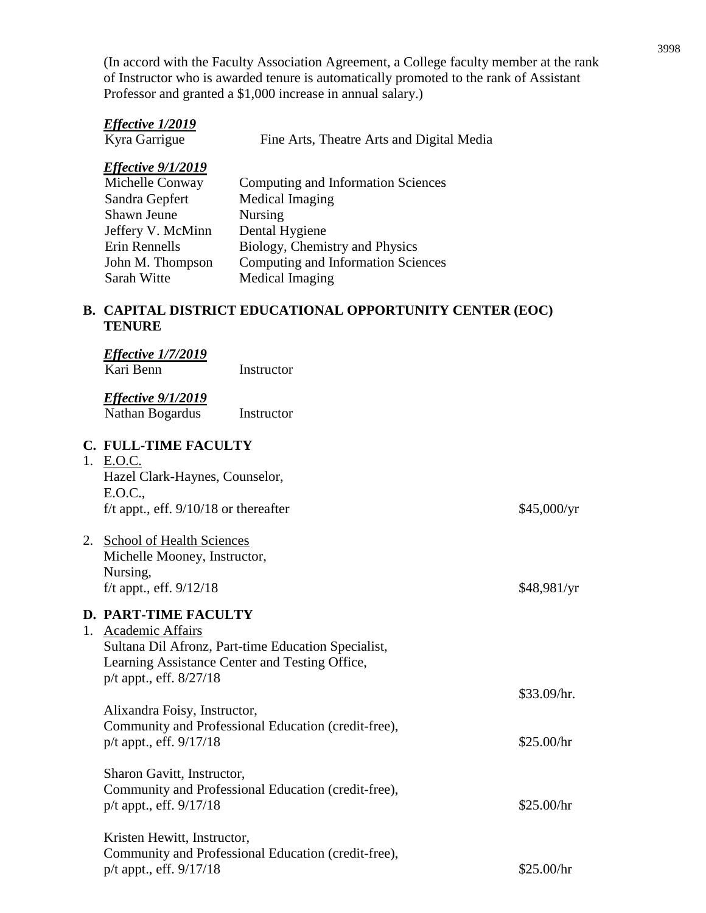(In accord with the Faculty Association Agreement, a College faculty member at the rank of Instructor who is awarded tenure is automatically promoted to the rank of Assistant Professor and granted a \$1,000 increase in annual salary.)

| Effective 1/2019<br>Kyra Garrigue                                                                                                                      | Fine Arts, Theatre Arts and Digital Media                                                                                                                                            |                           |
|--------------------------------------------------------------------------------------------------------------------------------------------------------|--------------------------------------------------------------------------------------------------------------------------------------------------------------------------------------|---------------------------|
| <b>Effective 9/1/2019</b><br>Michelle Conway<br>Sandra Gepfert<br>Shawn Jeune<br>Jeffery V. McMinn<br>Erin Rennells<br>John M. Thompson<br>Sarah Witte | <b>Computing and Information Sciences</b><br>Medical Imaging<br>Nursing<br>Dental Hygiene<br>Biology, Chemistry and Physics<br>Computing and Information Sciences<br>Medical Imaging |                           |
| <b>TENURE</b>                                                                                                                                          | <b>B. CAPITAL DISTRICT EDUCATIONAL OPPORTUNITY CENTER (EOC)</b>                                                                                                                      |                           |
| <b>Effective 1/7/2019</b><br>Kari Benn                                                                                                                 | Instructor                                                                                                                                                                           |                           |
| <b>Effective 9/1/2019</b><br>Nathan Bogardus                                                                                                           | Instructor                                                                                                                                                                           |                           |
| <b>C. FULL-TIME FACULTY</b><br>1. E.O.C.<br>Hazel Clark-Haynes, Counselor,<br>E.O.C.,<br>f/t appt., eff. $9/10/18$ or thereafter                       |                                                                                                                                                                                      | \$45,000/yr               |
| 2. School of Health Sciences<br>Michelle Mooney, Instructor,<br>Nursing,<br>f/t appt., eff. 9/12/18                                                    |                                                                                                                                                                                      | \$48,981/yr               |
| <b>D. PART-TIME FACULTY</b><br>1. Academic Affairs<br>$p/t$ appt., eff. $8/27/18$                                                                      | Sultana Dil Afronz, Part-time Education Specialist,<br>Learning Assistance Center and Testing Office,                                                                                |                           |
| Alixandra Foisy, Instructor,<br>p/t appt., eff. 9/17/18                                                                                                | Community and Professional Education (credit-free),                                                                                                                                  | \$33.09/hr.<br>\$25.00/hr |
| Sharon Gavitt, Instructor,<br>p/t appt., eff. 9/17/18                                                                                                  | Community and Professional Education (credit-free),                                                                                                                                  | \$25.00/hr                |

Kristen Hewitt, Instructor, Community and Professional Education (credit-free), p/t appt., eff. 9/17/18 \$25.00/hr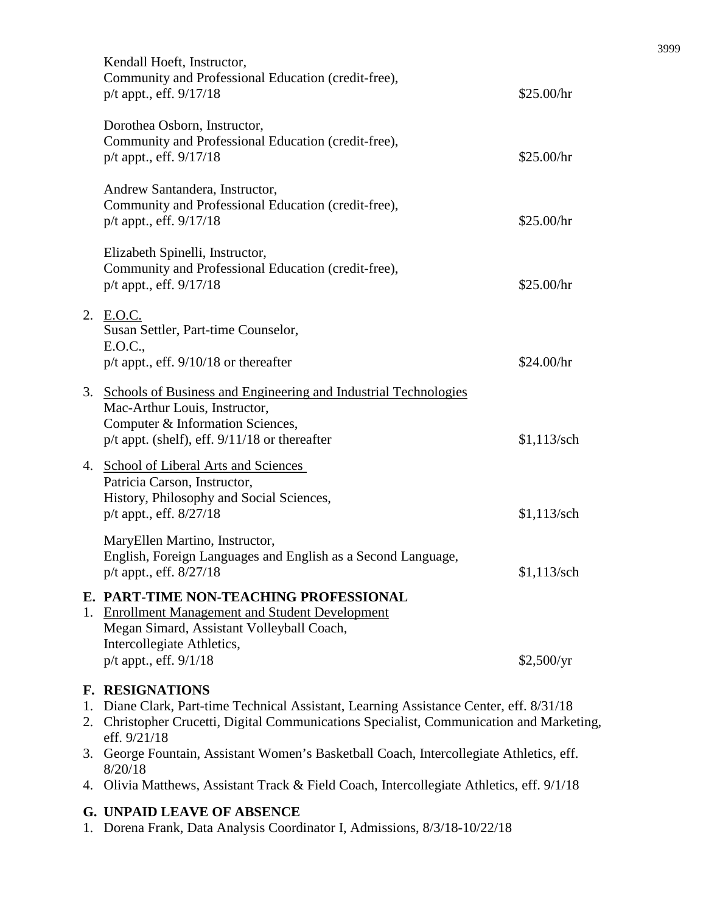|    | Kendall Hoeft, Instructor,<br>Community and Professional Education (credit-free),<br>p/t appt., eff. 9/17/18                                                                                                                  | \$25.00/hr    |
|----|-------------------------------------------------------------------------------------------------------------------------------------------------------------------------------------------------------------------------------|---------------|
|    | Dorothea Osborn, Instructor,<br>Community and Professional Education (credit-free),<br>p/t appt., eff. 9/17/18                                                                                                                | \$25.00/hr    |
|    | Andrew Santandera, Instructor,<br>Community and Professional Education (credit-free),<br>p/t appt., eff. 9/17/18                                                                                                              | \$25.00/hr    |
|    | Elizabeth Spinelli, Instructor,<br>Community and Professional Education (credit-free),<br>p/t appt., eff. 9/17/18                                                                                                             | \$25.00/hr    |
|    | 2. E.O.C.<br>Susan Settler, Part-time Counselor,<br>E.O.C.,<br>$p/t$ appt., eff. $9/10/18$ or thereafter                                                                                                                      | \$24.00/hr    |
| 3. | Schools of Business and Engineering and Industrial Technologies<br>Mac-Arthur Louis, Instructor,<br>Computer & Information Sciences,<br>$p/t$ appt. (shelf), eff. $9/11/18$ or thereafter                                     | $$1,113$ /sch |
| 4. | <b>School of Liberal Arts and Sciences</b><br>Patricia Carson, Instructor,<br>History, Philosophy and Social Sciences,<br>p/t appt., eff. 8/27/18                                                                             | $$1,113$ /sch |
|    | MaryEllen Martino, Instructor,<br>English, Foreign Languages and English as a Second Language,<br>p/t appt., eff. 8/27/18                                                                                                     | \$1,113/sch   |
| 1. | E. PART-TIME NON-TEACHING PROFESSIONAL<br><b>Enrollment Management and Student Development</b><br>Megan Simard, Assistant Volleyball Coach,<br>Intercollegiate Athletics,<br>p/t appt., eff. 9/1/18                           | \$2,500/yr    |
|    | <b>F. RESIGNATIONS</b><br>1. Diane Clark, Part-time Technical Assistant, Learning Assistance Center, eff. 8/31/18<br>2. Christopher Crucetti, Digital Communications Specialist, Communication and Marketing,<br>eff. 9/21/18 |               |

- 3. George Fountain, Assistant Women's Basketball Coach, Intercollegiate Athletics, eff. 8/20/18
- 4. Olivia Matthews, Assistant Track & Field Coach, Intercollegiate Athletics, eff. 9/1/18

## **G. UNPAID LEAVE OF ABSENCE**

1. Dorena Frank, Data Analysis Coordinator I, Admissions, 8/3/18-10/22/18